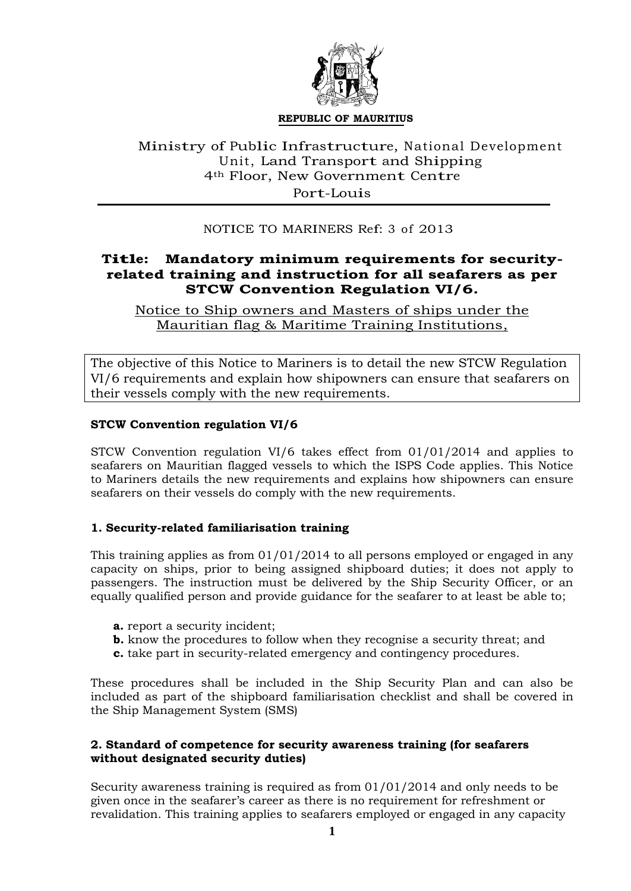

#### **REPUBLIC OF MAURITIUS**

## Ministry of Public Infrastructure, National Development Unit, Land Transport and Shipping 4th Floor, New Government Centre Port-Louis

## NOTICE TO MARINERS Ref: <sup>3</sup> of 2013

# **Title: Mandatory minimum requirements for securityrelated training and instruction for all seafarers as per STCW Convention Regulation VI/6.**

Notice to Ship owners and Masters of ships under the Mauritian flag & Maritime Training Institutions,

The objective of this Notice to Mariners is to detail the new STCW Regulation VI/6 requirements and explain how shipowners can ensure that seafarers on their vessels comply with the new requirements.

### **STCW Convention regulation VI/6**

STCW Convention regulation VI/6 takes effect from 01/01/2014 and applies to seafarers on Mauritian flagged vessels to which the ISPS Code applies. This Notice to Mariners details the new requirements and explains how shipowners can ensure seafarers on their vessels do comply with the new requirements.

### **1. Security-related familiarisation training**

This training applies as from 01/01/2014 to all persons employed or engaged in any capacity on ships, prior to being assigned shipboard duties; it does not apply to passengers. The instruction must be delivered by the Ship Security Officer, or an equally qualified person and provide guidance for the seafarer to at least be able to;

- **a.** report a security incident;
- **b.** know the procedures to follow when they recognise a security threat; and
- **c.** take part in security-related emergency and contingency procedures.

These procedures shall be included in the Ship Security Plan and can also be included as part of the shipboard familiarisation checklist and shall be covered in the Ship Management System (SMS)

### **2. Standard of competence for security awareness training (for seafarers without designated security duties)**

Security awareness training is required as from 01/01/2014 and only needs to be given once in the seafarer's career as there is no requirement for refreshment or revalidation. This training applies to seafarers employed or engaged in any capacity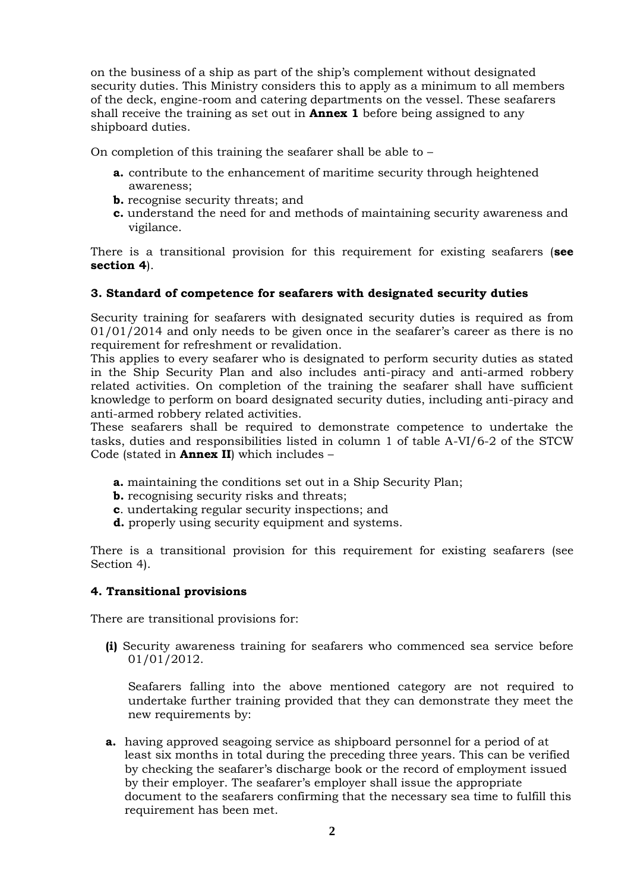on the business of a ship as part of the ship's complement without designated security duties. This Ministry considers this to apply as a minimum to all members of the deck, engine-room and catering departments on the vessel. These seafarers shall receive the training as set out in **Annex 1** before being assigned to any shipboard duties.

On completion of this training the seafarer shall be able to –

- **a.** contribute to the enhancement of maritime security through heightened awareness;
- **b.** recognise security threats; and
- **c.** understand the need for and methods of maintaining security awareness and vigilance.

There is a transitional provision for this requirement for existing seafarers (**see section 4**).

#### **3. Standard of competence for seafarers with designated security duties**

Security training for seafarers with designated security duties is required as from 01/01/2014 and only needs to be given once in the seafarer's career as there is no requirement for refreshment or revalidation.

This applies to every seafarer who is designated to perform security duties as stated in the Ship Security Plan and also includes anti-piracy and anti-armed robbery related activities. On completion of the training the seafarer shall have sufficient knowledge to perform on board designated security duties, including anti-piracy and anti-armed robbery related activities.

These seafarers shall be required to demonstrate competence to undertake the tasks, duties and responsibilities listed in column 1 of table A-VI/6-2 of the STCW Code (stated in **Annex II**) which includes –

- **a.** maintaining the conditions set out in a Ship Security Plan;
- **b.** recognising security risks and threats;
- **c**. undertaking regular security inspections; and
- **d.** properly using security equipment and systems.

There is a transitional provision for this requirement for existing seafarers (see Section 4).

#### **4. Transitional provisions**

There are transitional provisions for:

**(i)** Security awareness training for seafarers who commenced sea service before 01/01/2012.

Seafarers falling into the above mentioned category are not required to undertake further training provided that they can demonstrate they meet the new requirements by:

**a.** having approved seagoing service as shipboard personnel for a period of at least six months in total during the preceding three years. This can be verified by checking the seafarer's discharge book or the record of employment issued by their employer. The seafarer's employer shall issue the appropriate document to the seafarers confirming that the necessary sea time to fulfill this requirement has been met.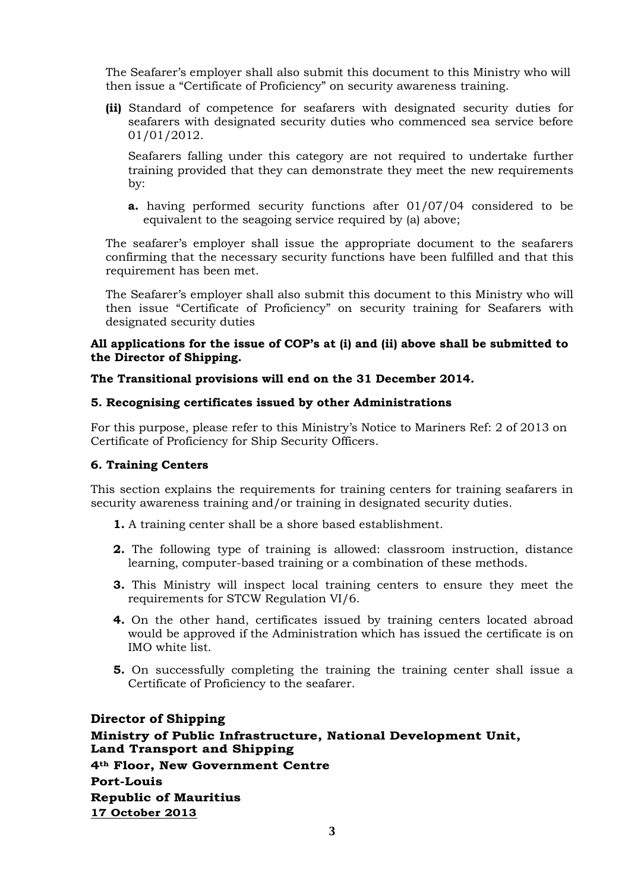The Seafarer's employer shall also submit this document to this Ministry who will then issue a "Certificate of Proficiency" on security awareness training.

**(ii)** Standard of competence for seafarers with designated security duties for seafarers with designated security duties who commenced sea service before 01/01/2012.

Seafarers falling under this category are not required to undertake further training provided that they can demonstrate they meet the new requirements by:

**a.** having performed security functions after 01/07/04 considered to be equivalent to the seagoing service required by (a) above;

The seafarer's employer shall issue the appropriate document to the seafarers confirming that the necessary security functions have been fulfilled and that this requirement has been met.

The Seafarer's employer shall also submit this document to this Ministry who will then issue "Certificate of Proficiency" on security training for Seafarers with designated security duties

## **All applications for the issue of COP's at (i) and (ii) above shall be submitted to the Director of Shipping.**

## **The Transitional provisions will end on the 31 December 2014.**

### **5. Recognising certificates issued by other Administrations**

For this purpose, please refer to this Ministry's Notice to Mariners Ref: 2 of 2013 on Certificate of Proficiency for Ship Security Officers.

### **6. Training Centers**

This section explains the requirements for training centers for training seafarers in security awareness training and/or training in designated security duties.

- **1.** A training center shall be a shore based establishment.
- **2.** The following type of training is allowed: classroom instruction, distance learning, computer-based training or a combination of these methods.
- **3.** This Ministry will inspect local training centers to ensure they meet the requirements for STCW Regulation VI/6.
- **4.** On the other hand, certificates issued by training centers located abroad would be approved if the Administration which has issued the certificate is on IMO white list.
- **5.** On successfully completing the training the training center shall issue a Certificate of Proficiency to the seafarer.

# **Director of Shipping Ministry of Public Infrastructure, National Development Unit, Land Transport and Shipping 4th Floor, New Government Centre Port-Louis Republic of Mauritius 17 October 2013**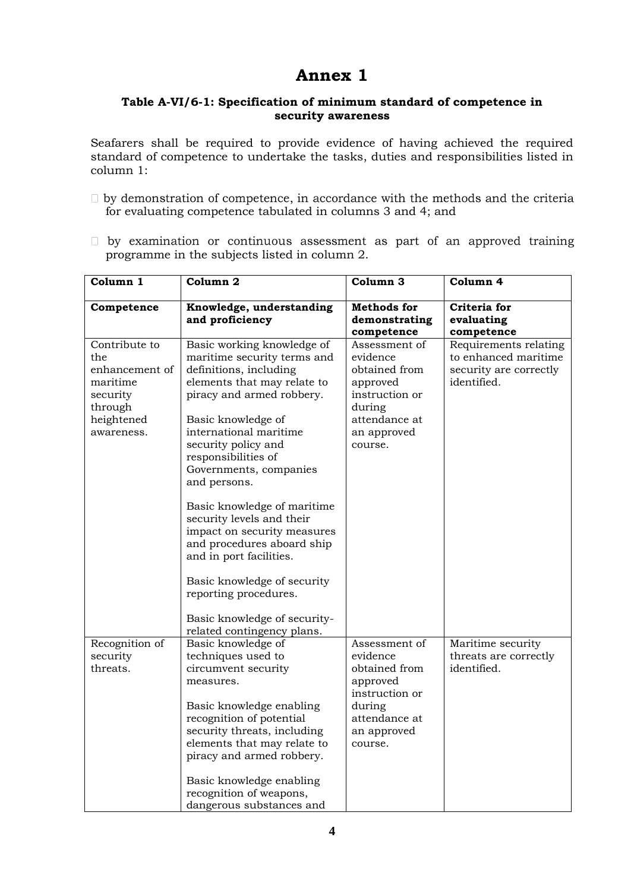# **Annex 1**

## **Table A-VI/6-1: Specification of minimum standard of competence in security awareness**

Seafarers shall be required to provide evidence of having achieved the required standard of competence to undertake the tasks, duties and responsibilities listed in column 1:

- $\Box$  by demonstration of competence, in accordance with the methods and the criteria for evaluating competence tabulated in columns 3 and 4; and
- $\Box$  by examination or continuous assessment as part of an approved training programme in the subjects listed in column 2.

| Column 1             | Column 2                                                  | Column <sub>3</sub>        | Column 4                                      |
|----------------------|-----------------------------------------------------------|----------------------------|-----------------------------------------------|
| Competence           | Knowledge, understanding                                  | <b>Methods</b> for         | Criteria for                                  |
|                      | and proficiency                                           | demonstrating              | evaluating                                    |
|                      |                                                           | competence                 | competence                                    |
| Contribute to<br>the | Basic working knowledge of<br>maritime security terms and | Assessment of<br>evidence  | Requirements relating<br>to enhanced maritime |
| enhancement of       | definitions, including                                    | obtained from              | security are correctly                        |
| maritime             | elements that may relate to                               | approved                   | identified.                                   |
| security<br>through  | piracy and armed robbery.                                 | instruction or<br>during   |                                               |
| heightened           | Basic knowledge of                                        | attendance at              |                                               |
| awareness.           | international maritime                                    | an approved                |                                               |
|                      | security policy and                                       | course.                    |                                               |
|                      | responsibilities of                                       |                            |                                               |
|                      | Governments, companies                                    |                            |                                               |
|                      | and persons.                                              |                            |                                               |
|                      | Basic knowledge of maritime                               |                            |                                               |
|                      | security levels and their                                 |                            |                                               |
|                      | impact on security measures                               |                            |                                               |
|                      | and procedures aboard ship                                |                            |                                               |
|                      | and in port facilities.                                   |                            |                                               |
|                      | Basic knowledge of security                               |                            |                                               |
|                      | reporting procedures.                                     |                            |                                               |
|                      | Basic knowledge of security-                              |                            |                                               |
|                      | related contingency plans.                                |                            |                                               |
| Recognition of       | Basic knowledge of                                        | Assessment of              | Maritime security                             |
| security             | techniques used to                                        | evidence                   | threats are correctly                         |
| threats.             | circumvent security                                       | obtained from              | identified.                                   |
|                      | measures.                                                 | approved<br>instruction or |                                               |
|                      | Basic knowledge enabling                                  | during                     |                                               |
|                      | recognition of potential                                  | attendance at              |                                               |
|                      | security threats, including                               | an approved                |                                               |
|                      | elements that may relate to                               | course.                    |                                               |
|                      | piracy and armed robbery.                                 |                            |                                               |
|                      | Basic knowledge enabling                                  |                            |                                               |
|                      | recognition of weapons,                                   |                            |                                               |
|                      | dangerous substances and                                  |                            |                                               |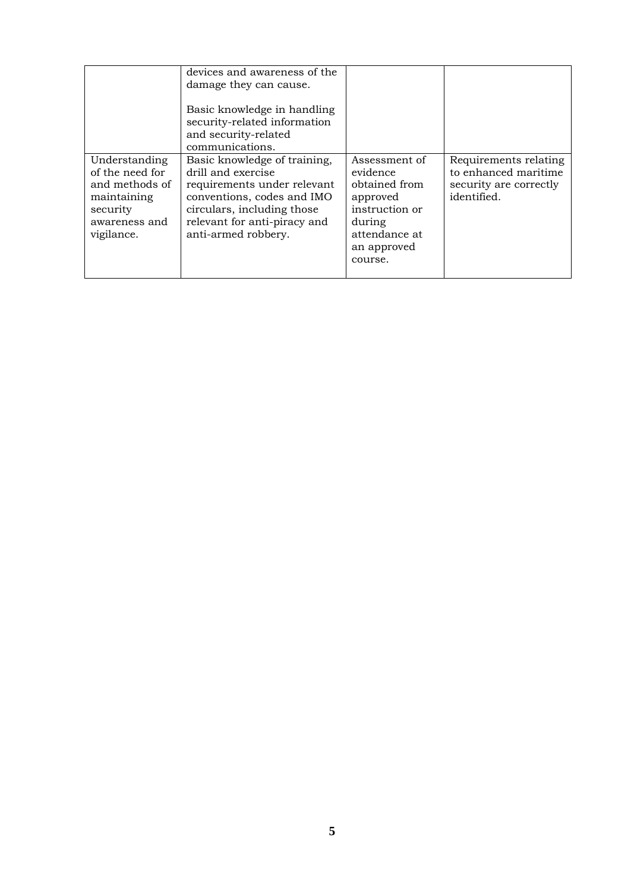|                                                                                                              | devices and awareness of the<br>damage they can cause.<br>Basic knowledge in handling<br>security-related information<br>and security-related<br>communications.                                     |                                                                                                                               |                                                                                        |
|--------------------------------------------------------------------------------------------------------------|------------------------------------------------------------------------------------------------------------------------------------------------------------------------------------------------------|-------------------------------------------------------------------------------------------------------------------------------|----------------------------------------------------------------------------------------|
| Understanding<br>of the need for<br>and methods of<br>maintaining<br>security<br>awareness and<br>vigilance. | Basic knowledge of training,<br>drill and exercise<br>requirements under relevant<br>conventions, codes and IMO<br>circulars, including those<br>relevant for anti-piracy and<br>anti-armed robbery. | Assessment of<br>evidence<br>obtained from<br>approved<br>instruction or<br>during<br>attendance at<br>an approved<br>course. | Requirements relating<br>to enhanced maritime<br>security are correctly<br>identified. |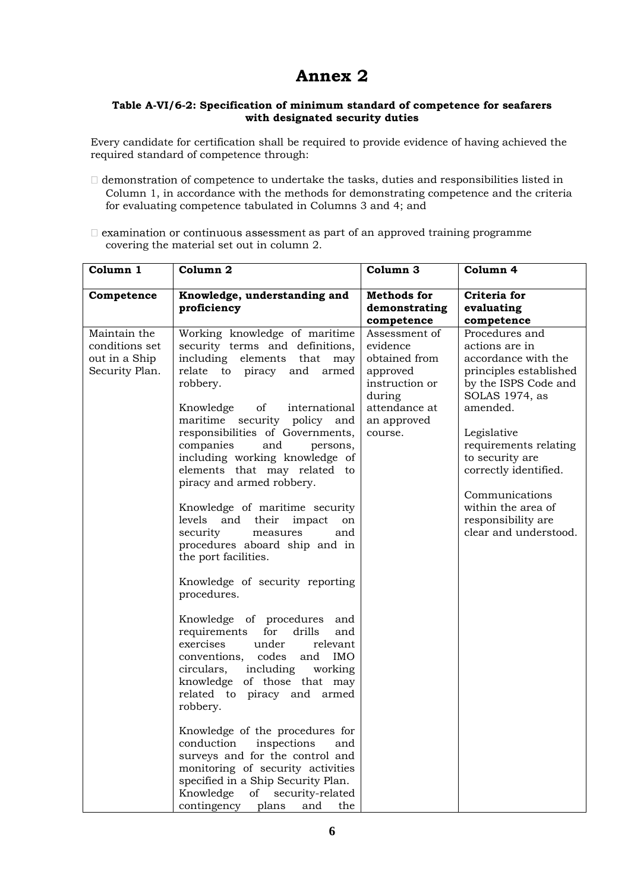# **Annex 2**

#### **Table A-VI/6-2: Specification of minimum standard of competence for seafarers with designated security duties**

Every candidate for certification shall be required to provide evidence of having achieved the required standard of competence through:

- $\Box$  demonstration of competence to undertake the tasks, duties and responsibilities listed in Column 1, in accordance with the methods for demonstrating competence and the criteria for evaluating competence tabulated in Columns 3 and 4; and
- $\Box$  examination or continuous assessment as part of an approved training programme covering the material set out in column 2.

| Column 1                                                          | Column <sub>2</sub>                                                                                                                                                                                                                                                                                                                                                                                                                                                                                                                                                                                                                                                                                                                                                                                                                                                                                                                                                                                                                                                                 | Column 3                                                                                                                      | Column 4                                                                                                                                                                                                                                                                                                           |
|-------------------------------------------------------------------|-------------------------------------------------------------------------------------------------------------------------------------------------------------------------------------------------------------------------------------------------------------------------------------------------------------------------------------------------------------------------------------------------------------------------------------------------------------------------------------------------------------------------------------------------------------------------------------------------------------------------------------------------------------------------------------------------------------------------------------------------------------------------------------------------------------------------------------------------------------------------------------------------------------------------------------------------------------------------------------------------------------------------------------------------------------------------------------|-------------------------------------------------------------------------------------------------------------------------------|--------------------------------------------------------------------------------------------------------------------------------------------------------------------------------------------------------------------------------------------------------------------------------------------------------------------|
| Competence                                                        | Knowledge, understanding and<br>proficiency                                                                                                                                                                                                                                                                                                                                                                                                                                                                                                                                                                                                                                                                                                                                                                                                                                                                                                                                                                                                                                         | <b>Methods</b> for<br>demonstrating<br>competence                                                                             | Criteria for<br>evaluating<br>competence                                                                                                                                                                                                                                                                           |
| Maintain the<br>conditions set<br>out in a Ship<br>Security Plan. | Working knowledge of maritime<br>security terms and definitions,<br>including elements that<br>may<br>relate to piracy and armed<br>robbery.<br>of<br>Knowledge<br>international<br>maritime security policy and<br>responsibilities of Governments,<br>companies<br>and<br>persons,<br>including working knowledge of<br>elements that may related to<br>piracy and armed robbery.<br>Knowledge of maritime security<br>levels and their impact<br>on<br>security<br>and<br>measures<br>procedures aboard ship and in<br>the port facilities.<br>Knowledge of security reporting<br>procedures.<br>Knowledge of procedures and<br>requirements<br>for drills<br>and<br>exercises<br>under<br>relevant<br>conventions, codes<br>and IMO<br>including<br>circulars,<br>working<br>knowledge of those that may<br>related to piracy and armed<br>robbery.<br>Knowledge of the procedures for<br>conduction<br>inspections<br>and<br>surveys and for the control and<br>monitoring of security activities<br>specified in a Ship Security Plan.<br>Knowledge<br>of<br>security-related | Assessment of<br>evidence<br>obtained from<br>approved<br>instruction or<br>during<br>attendance at<br>an approved<br>course. | Procedures and<br>actions are in<br>accordance with the<br>principles established<br>by the ISPS Code and<br>SOLAS 1974, as<br>amended.<br>Legislative<br>requirements relating<br>to security are<br>correctly identified.<br>Communications<br>within the area of<br>responsibility are<br>clear and understood. |
|                                                                   | contingency plans<br>the<br>and                                                                                                                                                                                                                                                                                                                                                                                                                                                                                                                                                                                                                                                                                                                                                                                                                                                                                                                                                                                                                                                     |                                                                                                                               |                                                                                                                                                                                                                                                                                                                    |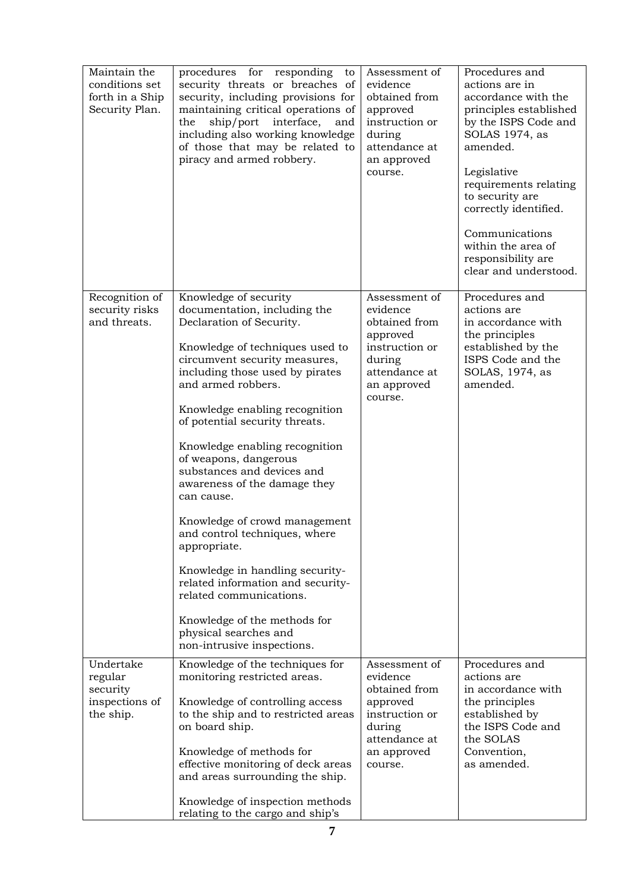| Maintain the<br>conditions set<br>forth in a Ship<br>Security Plan. | procedures for responding<br>to<br>security threats or breaches of<br>security, including provisions for<br>maintaining critical operations of<br>ship/port<br>the<br>interface,<br>and<br>including also working knowledge<br>of those that may be related to<br>piracy and armed robbery.                                                                                                                                                                                                                                                                                                                                                                                  | Assessment of<br>evidence<br>obtained from<br>approved<br>instruction or<br>during<br>attendance at<br>an approved<br>course. | Procedures and<br>actions are in<br>accordance with the<br>principles established<br>by the ISPS Code and<br>SOLAS 1974, as<br>amended.<br>Legislative<br>requirements relating<br>to security are<br>correctly identified.<br>Communications<br>within the area of<br>responsibility are<br>clear and understood. |
|---------------------------------------------------------------------|------------------------------------------------------------------------------------------------------------------------------------------------------------------------------------------------------------------------------------------------------------------------------------------------------------------------------------------------------------------------------------------------------------------------------------------------------------------------------------------------------------------------------------------------------------------------------------------------------------------------------------------------------------------------------|-------------------------------------------------------------------------------------------------------------------------------|--------------------------------------------------------------------------------------------------------------------------------------------------------------------------------------------------------------------------------------------------------------------------------------------------------------------|
| Recognition of                                                      | Knowledge of security                                                                                                                                                                                                                                                                                                                                                                                                                                                                                                                                                                                                                                                        | Assessment of                                                                                                                 | Procedures and                                                                                                                                                                                                                                                                                                     |
| security risks<br>and threats.                                      | documentation, including the<br>Declaration of Security.<br>Knowledge of techniques used to<br>circumvent security measures,<br>including those used by pirates<br>and armed robbers.<br>Knowledge enabling recognition<br>of potential security threats.<br>Knowledge enabling recognition<br>of weapons, dangerous<br>substances and devices and<br>awareness of the damage they<br>can cause.<br>Knowledge of crowd management<br>and control techniques, where<br>appropriate.<br>Knowledge in handling security-<br>related information and security-<br>related communications.<br>Knowledge of the methods for<br>physical searches and<br>non-intrusive inspections. | evidence<br>obtained from<br>approved<br>instruction or<br>during<br>attendance at<br>an approved<br>course.                  | actions are<br>in accordance with<br>the principles<br>established by the<br>ISPS Code and the<br>SOLAS, 1974, as<br>amended.                                                                                                                                                                                      |
| Undertake<br>regular<br>security<br>inspections of<br>the ship.     | Knowledge of the techniques for<br>monitoring restricted areas.                                                                                                                                                                                                                                                                                                                                                                                                                                                                                                                                                                                                              | Assessment of<br>evidence                                                                                                     | Procedures and<br>actions are<br>in accordance with<br>the principles<br>established by<br>the ISPS Code and<br>the SOLAS<br>Convention,<br>as amended.                                                                                                                                                            |
|                                                                     | Knowledge of controlling access<br>to the ship and to restricted areas<br>on board ship.                                                                                                                                                                                                                                                                                                                                                                                                                                                                                                                                                                                     | obtained from<br>approved<br>instruction or<br>during<br>attendance at<br>an approved<br>course.                              |                                                                                                                                                                                                                                                                                                                    |
|                                                                     | Knowledge of methods for<br>effective monitoring of deck areas<br>and areas surrounding the ship.                                                                                                                                                                                                                                                                                                                                                                                                                                                                                                                                                                            |                                                                                                                               |                                                                                                                                                                                                                                                                                                                    |
|                                                                     | Knowledge of inspection methods<br>relating to the cargo and ship's                                                                                                                                                                                                                                                                                                                                                                                                                                                                                                                                                                                                          |                                                                                                                               |                                                                                                                                                                                                                                                                                                                    |